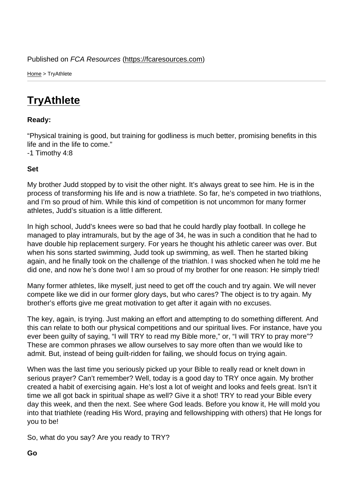Home > TryAthlete

## **[Try](https://fcaresources.com/)Athlete**

Ready:

["Physical training](https://fcaresources.com/devotional/tryathlete) is good, but training for godliness is much better, promising benefits in this life and in the life to come." -1 Timothy 4:8

Set

My brother Judd stopped by to visit the other night. It's always great to see him. He is in the process of transforming his life and is now a triathlete. So far, he's competed in two triathlons, and I'm so proud of him. While this kind of competition is not uncommon for many former athletes, Judd's situation is a little different.

In high school, Judd's knees were so bad that he could hardly play football. In college he managed to play intramurals, but by the age of 34, he was in such a condition that he had to have double hip replacement surgery. For years he thought his athletic career was over. But when his sons started swimming, Judd took up swimming, as well. Then he started biking again, and he finally took on the challenge of the triathlon. I was shocked when he told me he did one, and now he's done two! I am so proud of my brother for one reason: He simply tried!

Many former athletes, like myself, just need to get off the couch and try again. We will never compete like we did in our former glory days, but who cares? The object is to try again. My brother's efforts give me great motivation to get after it again with no excuses.

The key, again, is trying. Just making an effort and attempting to do something different. And this can relate to both our physical competitions and our spiritual lives. For instance, have you ever been guilty of saying, "I will TRY to read my Bible more," or, "I will TRY to pray more"? These are common phrases we allow ourselves to say more often than we would like to admit. But, instead of being guilt-ridden for failing, we should focus on trying again.

When was the last time you seriously picked up your Bible to really read or knelt down in serious prayer? Can't remember? Well, today is a good day to TRY once again. My brother created a habit of exercising again. He's lost a lot of weight and looks and feels great. Isn't it time we all got back in spiritual shape as well? Give it a shot! TRY to read your Bible every day this week, and then the next. See where God leads. Before you know it, He will mold you into that triathlete (reading His Word, praying and fellowshipping with others) that He longs for you to be!

So, what do you say? Are you ready to TRY?

Go